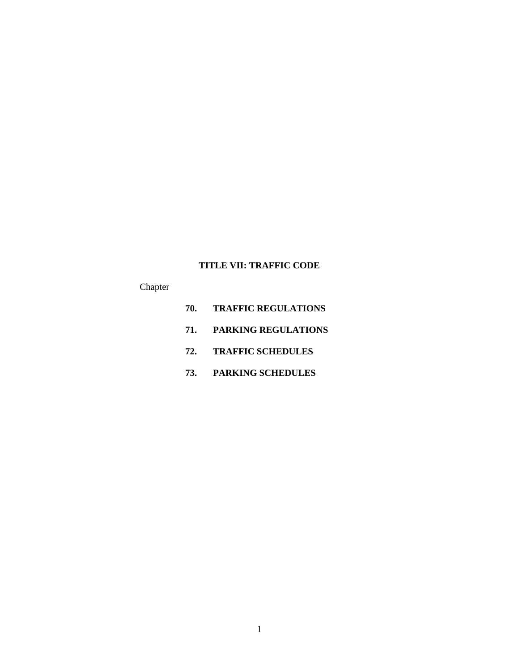## **TITLE VII: TRAFFIC CODE**

Chapter

| 70. TRAFFIC REGULATIONS |
|-------------------------|
| 71. PARKING REGULATIONS |

- **72. TRAFFIC SCHEDULES**
- **73. PARKING SCHEDULES**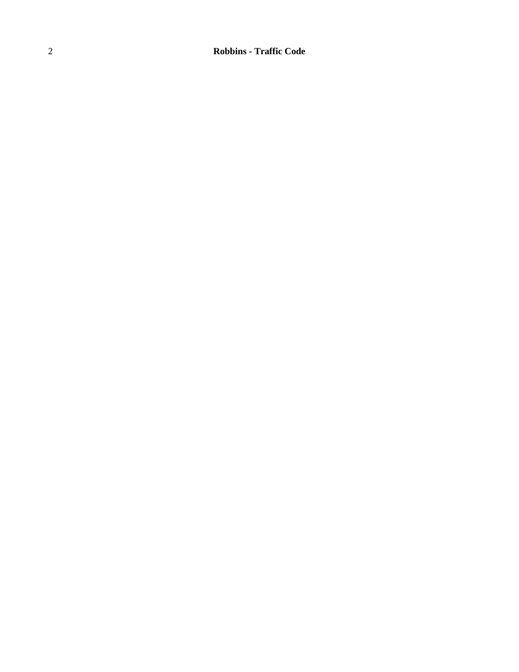**Robbins - Traffic Code**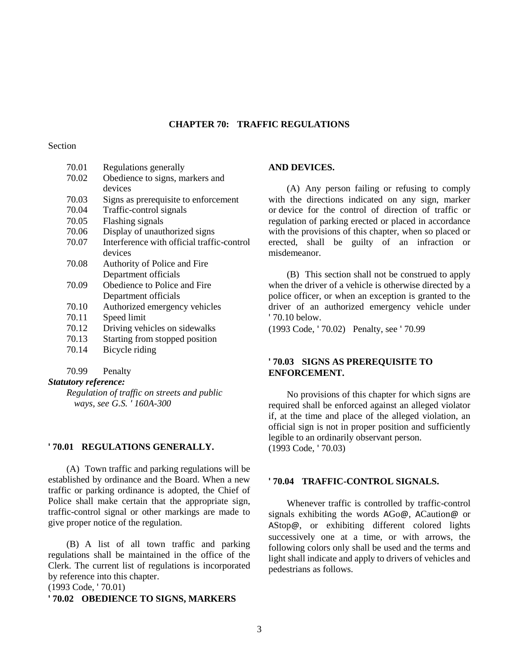#### **CHAPTER 70: TRAFFIC REGULATIONS**

#### Section

| 70.01 | Regulations generally                      |
|-------|--------------------------------------------|
| 70.02 | Obedience to signs, markers and            |
|       | devices                                    |
| 70.03 | Signs as prerequisite to enforcement       |
| 70.04 | Traffic-control signals                    |
| 70.05 | Flashing signals                           |
| 70.06 | Display of unauthorized signs              |
| 70.07 | Interference with official traffic-control |
|       | devices                                    |
| 70.08 | Authority of Police and Fire               |
|       | Department officials                       |
| 70.09 | Obedience to Police and Fire               |
|       | Department officials                       |
| 70.10 | Authorized emergency vehicles              |
| 70.11 | Speed limit                                |
| 70.12 | Driving vehicles on sidewalks              |
| 70.13 | Starting from stopped position             |

70.14 Bicycle riding

70.99 Penalty

*Statutory reference:*

*Regulation of traffic on streets and public ways, see G.S. ' 160A-300*

#### **' 70.01 REGULATIONS GENERALLY.**

(A) Town traffic and parking regulations will be established by ordinance and the Board. When a new traffic or parking ordinance is adopted, the Chief of Police shall make certain that the appropriate sign, traffic-control signal or other markings are made to give proper notice of the regulation.

(B) A list of all town traffic and parking regulations shall be maintained in the office of the Clerk. The current list of regulations is incorporated by reference into this chapter.

(1993 Code, ' 70.01)

**' 70.02 OBEDIENCE TO SIGNS, MARKERS**

#### **AND DEVICES.**

(A) Any person failing or refusing to comply with the directions indicated on any sign, marker or device for the control of direction of traffic or regulation of parking erected or placed in accordance with the provisions of this chapter, when so placed or erected, shall be guilty of an infraction or misdemeanor.

(B) This section shall not be construed to apply when the driver of a vehicle is otherwise directed by a police officer, or when an exception is granted to the driver of an authorized emergency vehicle under ' 70.10 below.

(1993 Code, ' 70.02) Penalty, see ' 70.99

## **' 70.03 SIGNS AS PREREQUISITE TO ENFORCEMENT.**

No provisions of this chapter for which signs are required shall be enforced against an alleged violator if, at the time and place of the alleged violation, an official sign is not in proper position and sufficiently legible to an ordinarily observant person. (1993 Code, ' 70.03)

#### **' 70.04 TRAFFIC-CONTROL SIGNALS.**

Whenever traffic is controlled by traffic-control signals exhibiting the words AGo@, ACaution@ or AStop@, or exhibiting different colored lights successively one at a time, or with arrows, the following colors only shall be used and the terms and light shall indicate and apply to drivers of vehicles and pedestrians as follows.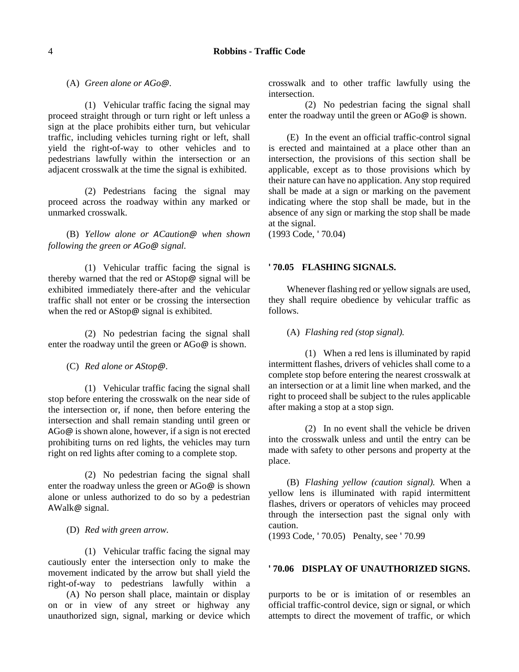(A) *Green alone or AGo@.*

(1) Vehicular traffic facing the signal may proceed straight through or turn right or left unless a sign at the place prohibits either turn, but vehicular traffic, including vehicles turning right or left, shall yield the right-of-way to other vehicles and to pedestrians lawfully within the intersection or an adjacent crosswalk at the time the signal is exhibited.

(2) Pedestrians facing the signal may proceed across the roadway within any marked or unmarked crosswalk.

(B) *Yellow alone or ACaution@ when shown following the green or AGo@ signal.*

(1) Vehicular traffic facing the signal is thereby warned that the red or AStop@ signal will be exhibited immediately there-after and the vehicular traffic shall not enter or be crossing the intersection when the red or AStop@ signal is exhibited.

(2) No pedestrian facing the signal shall enter the roadway until the green or AGo@ is shown.

(C) *Red alone or AStop@.*

(1) Vehicular traffic facing the signal shall stop before entering the crosswalk on the near side of the intersection or, if none, then before entering the intersection and shall remain standing until green or AGo@ is shown alone, however, if a sign is not erected prohibiting turns on red lights, the vehicles may turn right on red lights after coming to a complete stop.

(2) No pedestrian facing the signal shall enter the roadway unless the green or AGo@ is shown alone or unless authorized to do so by a pedestrian AWalk@ signal.

(D) *Red with green arrow.*

(1) Vehicular traffic facing the signal may cautiously enter the intersection only to make the movement indicated by the arrow but shall yield the right-of-way to pedestrians lawfully within a

(A) No person shall place, maintain or display on or in view of any street or highway any unauthorized sign, signal, marking or device which crosswalk and to other traffic lawfully using the intersection.

(2) No pedestrian facing the signal shall enter the roadway until the green or AGo@ is shown.

(E) In the event an official traffic-control signal is erected and maintained at a place other than an intersection, the provisions of this section shall be applicable, except as to those provisions which by their nature can have no application. Any stop required shall be made at a sign or marking on the pavement indicating where the stop shall be made, but in the absence of any sign or marking the stop shall be made at the signal.

(1993 Code, ' 70.04)

#### **' 70.05 FLASHING SIGNALS.**

Whenever flashing red or yellow signals are used, they shall require obedience by vehicular traffic as follows.

(A) *Flashing red (stop signal).*

(1) When a red lens is illuminated by rapid intermittent flashes, drivers of vehicles shall come to a complete stop before entering the nearest crosswalk at an intersection or at a limit line when marked, and the right to proceed shall be subject to the rules applicable after making a stop at a stop sign.

(2) In no event shall the vehicle be driven into the crosswalk unless and until the entry can be made with safety to other persons and property at the place.

(B) *Flashing yellow (caution signal).* When a yellow lens is illuminated with rapid intermittent flashes, drivers or operators of vehicles may proceed through the intersection past the signal only with caution.

(1993 Code, ' 70.05) Penalty, see ' 70.99

#### **' 70.06 DISPLAY OF UNAUTHORIZED SIGNS.**

purports to be or is imitation of or resembles an official traffic-control device, sign or signal, or which attempts to direct the movement of traffic, or which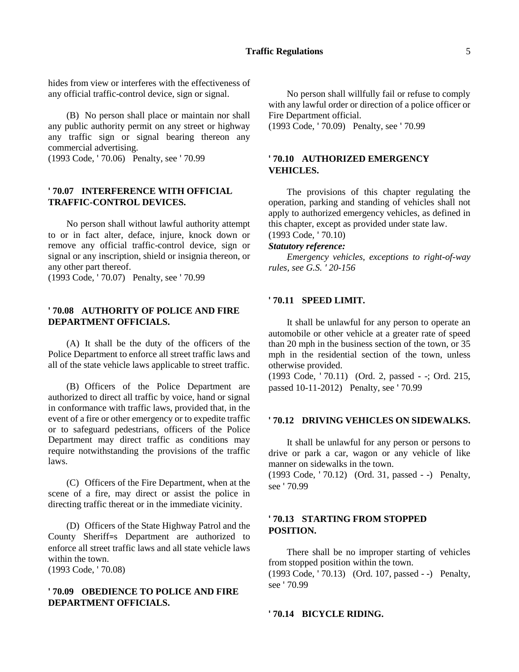hides from view or interferes with the effectiveness of any official traffic-control device, sign or signal.

(B) No person shall place or maintain nor shall any public authority permit on any street or highway any traffic sign or signal bearing thereon any commercial advertising.

(1993 Code, ' 70.06) Penalty, see ' 70.99

### **' 70.07 INTERFERENCE WITH OFFICIAL TRAFFIC-CONTROL DEVICES.**

No person shall without lawful authority attempt to or in fact alter, deface, injure, knock down or remove any official traffic-control device, sign or signal or any inscription, shield or insignia thereon, or any other part thereof.

(1993 Code, ' 70.07) Penalty, see ' 70.99

## **' 70.08 AUTHORITY OF POLICE AND FIRE DEPARTMENT OFFICIALS.**

(A) It shall be the duty of the officers of the Police Department to enforce all street traffic laws and all of the state vehicle laws applicable to street traffic.

(B) Officers of the Police Department are authorized to direct all traffic by voice, hand or signal in conformance with traffic laws, provided that, in the event of a fire or other emergency or to expedite traffic or to safeguard pedestrians, officers of the Police Department may direct traffic as conditions may require notwithstanding the provisions of the traffic laws.

(C) Officers of the Fire Department, when at the scene of a fire, may direct or assist the police in directing traffic thereat or in the immediate vicinity.

(D) Officers of the State Highway Patrol and the County Sheriff=s Department are authorized to enforce all street traffic laws and all state vehicle laws within the town. (1993 Code, ' 70.08)

### **' 70.09 OBEDIENCE TO POLICE AND FIRE DEPARTMENT OFFICIALS.**

No person shall willfully fail or refuse to comply with any lawful order or direction of a police officer or Fire Department official.

(1993 Code, ' 70.09) Penalty, see ' 70.99

## **' 70.10 AUTHORIZED EMERGENCY VEHICLES.**

The provisions of this chapter regulating the operation, parking and standing of vehicles shall not apply to authorized emergency vehicles, as defined in this chapter, except as provided under state law. (1993 Code, ' 70.10)

#### *Statutory reference:*

*Emergency vehicles, exceptions to right-of-way rules, see G.S. ' 20-156*

#### **' 70.11 SPEED LIMIT.**

It shall be unlawful for any person to operate an automobile or other vehicle at a greater rate of speed than 20 mph in the business section of the town, or 35 mph in the residential section of the town, unless otherwise provided.

(1993 Code, ' 70.11) (Ord. 2, passed - -; Ord. 215, passed 10-11-2012) Penalty, see ' 70.99

#### **' 70.12 DRIVING VEHICLES ON SIDEWALKS.**

It shall be unlawful for any person or persons to drive or park a car, wagon or any vehicle of like manner on sidewalks in the town.

(1993 Code, ' 70.12) (Ord. 31, passed - -) Penalty, see ' 70.99

### **' 70.13 STARTING FROM STOPPED POSITION.**

There shall be no improper starting of vehicles from stopped position within the town.

(1993 Code, ' 70.13) (Ord. 107, passed - -) Penalty, see ' 70.99

#### **' 70.14 BICYCLE RIDING.**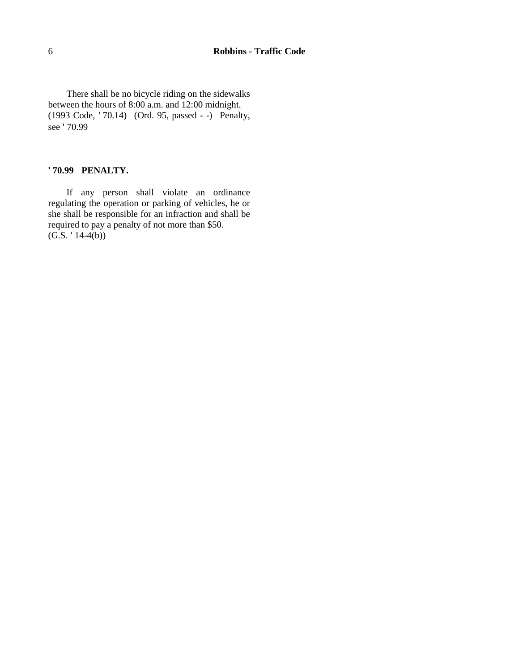There shall be no bicycle riding on the sidewalks between the hours of 8:00 a.m. and 12:00 midnight. (1993 Code, ' 70.14) (Ord. 95, passed - -) Penalty, see ' 70.99

#### **' 70.99 PENALTY.**

If any person shall violate an ordinance regulating the operation or parking of vehicles, he or she shall be responsible for an infraction and shall be required to pay a penalty of not more than \$50.  $(G.S. ' 14-4(b))$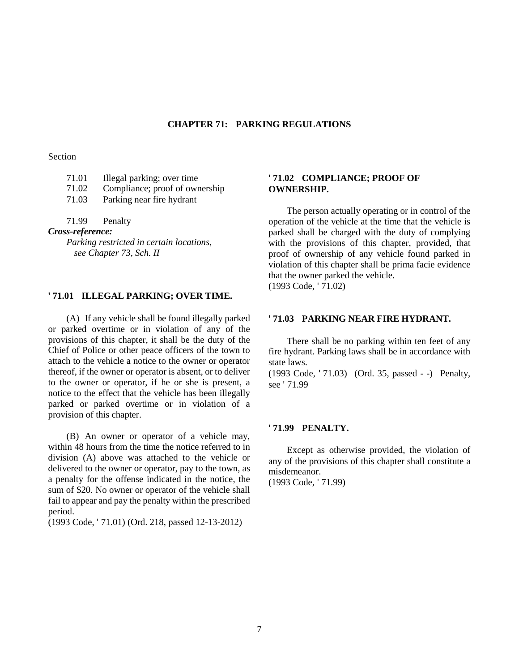#### **CHAPTER 71: PARKING REGULATIONS**

Section

| 71.01 | Illegal parking; over time     |
|-------|--------------------------------|
| 71.02 | Compliance; proof of ownership |
| 71.03 | Parking near fire hydrant      |

71.99 Penalty

*Cross-reference:*

*Parking restricted in certain locations, see Chapter 73, Sch. II*

#### **' 71.01 ILLEGAL PARKING; OVER TIME.**

(A) If any vehicle shall be found illegally parked or parked overtime or in violation of any of the provisions of this chapter, it shall be the duty of the Chief of Police or other peace officers of the town to attach to the vehicle a notice to the owner or operator thereof, if the owner or operator is absent, or to deliver to the owner or operator, if he or she is present, a notice to the effect that the vehicle has been illegally parked or parked overtime or in violation of a provision of this chapter.

(B) An owner or operator of a vehicle may, within 48 hours from the time the notice referred to in division (A) above was attached to the vehicle or delivered to the owner or operator, pay to the town, as a penalty for the offense indicated in the notice, the sum of \$20. No owner or operator of the vehicle shall fail to appear and pay the penalty within the prescribed period.

(1993 Code, ' 71.01) (Ord. 218, passed 12-13-2012)

### **' 71.02 COMPLIANCE; PROOF OF OWNERSHIP.**

The person actually operating or in control of the operation of the vehicle at the time that the vehicle is parked shall be charged with the duty of complying with the provisions of this chapter, provided, that proof of ownership of any vehicle found parked in violation of this chapter shall be prima facie evidence that the owner parked the vehicle. (1993 Code, ' 71.02)

#### **' 71.03 PARKING NEAR FIRE HYDRANT.**

There shall be no parking within ten feet of any fire hydrant. Parking laws shall be in accordance with state laws. (1993 Code, ' 71.03) (Ord. 35, passed - -) Penalty,

see ' 71.99

#### **' 71.99 PENALTY.**

Except as otherwise provided, the violation of any of the provisions of this chapter shall constitute a misdemeanor.

(1993 Code, ' 71.99)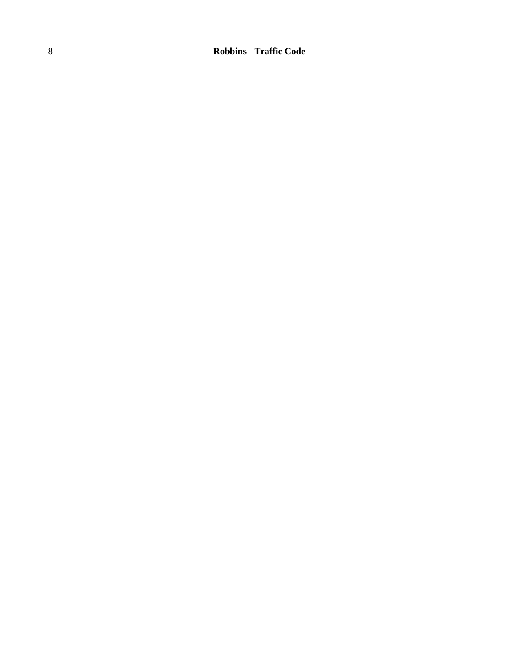**Robbins - Traffic Code**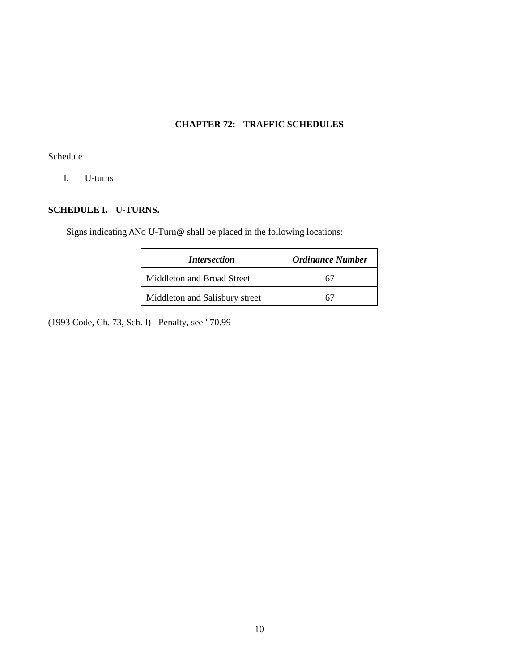## **CHAPTER 72: TRAFFIC SCHEDULES**

## Schedule

## I. U-turns

# **SCHEDULE I. U-TURNS.**

Signs indicating ANo U-Turn@ shall be placed in the following locations:

| <i>Intersection</i>            | <b>Ordinance Number</b> |  |
|--------------------------------|-------------------------|--|
| Middleton and Broad Street     |                         |  |
| Middleton and Salisbury street |                         |  |

(1993 Code, Ch. 73, Sch. I) Penalty, see ' 70.99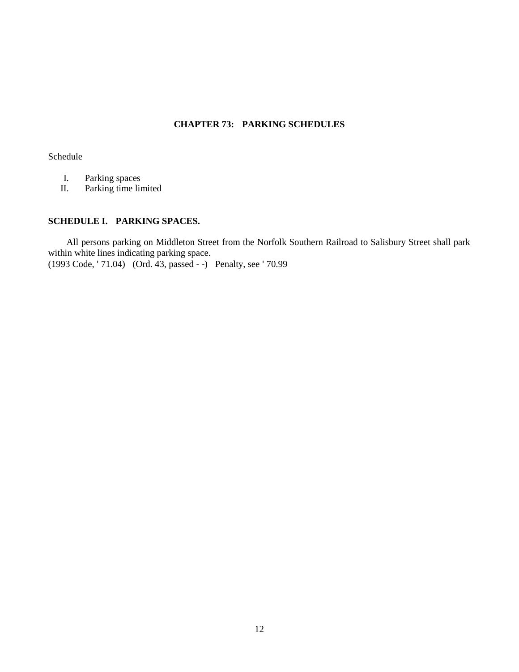## **CHAPTER 73: PARKING SCHEDULES**

Schedule

- I. Parking spaces
- II. Parking time limited

## **SCHEDULE I. PARKING SPACES.**

All persons parking on Middleton Street from the Norfolk Southern Railroad to Salisbury Street shall park within white lines indicating parking space. (1993 Code, ' 71.04) (Ord. 43, passed - -) Penalty, see ' 70.99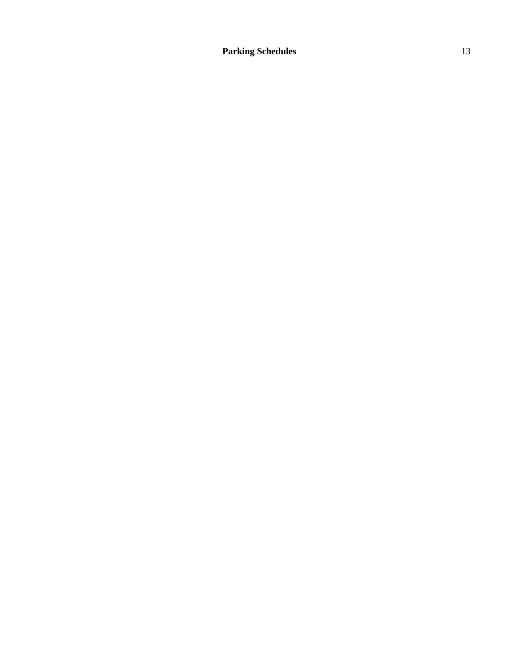**Parking Schedules** 13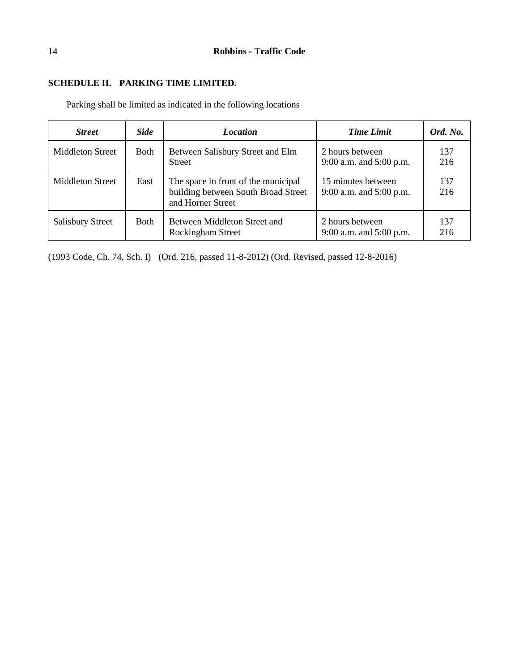# **SCHEDULE II. PARKING TIME LIMITED.**

Parking shall be limited as indicated in the following locations

| <b>Street</b>           | <b>Side</b> | <b>Location</b>                                                                                 | <b>Time Limit</b>                                 | Ord. No.   |
|-------------------------|-------------|-------------------------------------------------------------------------------------------------|---------------------------------------------------|------------|
| Middleton Street        | <b>Both</b> | Between Salisbury Street and Elm<br><b>Street</b>                                               | 2 hours between<br>$9:00$ a.m. and $5:00$ p.m.    | 137<br>216 |
| <b>Middleton Street</b> | East        | The space in front of the municipal<br>building between South Broad Street<br>and Horner Street | 15 minutes between<br>$9:00$ a.m. and $5:00$ p.m. | 137<br>216 |
| <b>Salisbury Street</b> | <b>Both</b> | Between Middleton Street and<br><b>Rockingham Street</b>                                        | 2 hours between<br>$9:00$ a.m. and $5:00$ p.m.    | 137<br>216 |

(1993 Code, Ch. 74, Sch. I) (Ord. 216, passed 11-8-2012) (Ord. Revised, passed 12-8-2016)